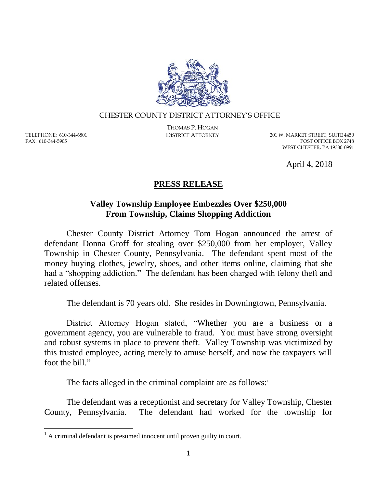

## CHESTER COUNTY DISTRICT ATTORNEY'S OFFICE

TELEPHONE: 610-344-6801 FAX: 610-344-5905

 $\overline{a}$ 

THOMAS P. HOGAN

DISTRICT ATTORNEY 201 W. MARKET STREET, SUITE 4450 POST OFFICE BOX 2748 WEST CHESTER, PA 19380-0991

April 4, 2018

## **PRESS RELEASE**

## **Valley Township Employee Embezzles Over \$250,000 From Township, Claims Shopping Addiction**

Chester County District Attorney Tom Hogan announced the arrest of defendant Donna Groff for stealing over \$250,000 from her employer, Valley Township in Chester County, Pennsylvania. The defendant spent most of the money buying clothes, jewelry, shoes, and other items online, claiming that she had a "shopping addiction." The defendant has been charged with felony theft and related offenses.

The defendant is 70 years old. She resides in Downingtown, Pennsylvania.

District Attorney Hogan stated, "Whether you are a business or a government agency, you are vulnerable to fraud. You must have strong oversight and robust systems in place to prevent theft. Valley Township was victimized by this trusted employee, acting merely to amuse herself, and now the taxpayers will foot the bill."

The facts alleged in the criminal complaint are as follows: $1$ 

The defendant was a receptionist and secretary for Valley Township, Chester County, Pennsylvania. The defendant had worked for the township for

 $<sup>1</sup>$  A criminal defendant is presumed innocent until proven guilty in court.</sup>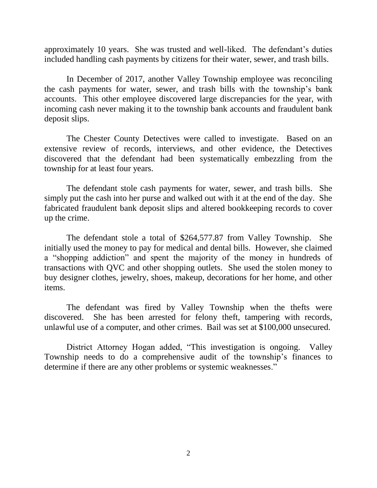approximately 10 years. She was trusted and well-liked. The defendant's duties included handling cash payments by citizens for their water, sewer, and trash bills.

In December of 2017, another Valley Township employee was reconciling the cash payments for water, sewer, and trash bills with the township's bank accounts. This other employee discovered large discrepancies for the year, with incoming cash never making it to the township bank accounts and fraudulent bank deposit slips.

The Chester County Detectives were called to investigate. Based on an extensive review of records, interviews, and other evidence, the Detectives discovered that the defendant had been systematically embezzling from the township for at least four years.

The defendant stole cash payments for water, sewer, and trash bills. She simply put the cash into her purse and walked out with it at the end of the day. She fabricated fraudulent bank deposit slips and altered bookkeeping records to cover up the crime.

The defendant stole a total of \$264,577.87 from Valley Township. She initially used the money to pay for medical and dental bills. However, she claimed a "shopping addiction" and spent the majority of the money in hundreds of transactions with QVC and other shopping outlets. She used the stolen money to buy designer clothes, jewelry, shoes, makeup, decorations for her home, and other items.

The defendant was fired by Valley Township when the thefts were discovered. She has been arrested for felony theft, tampering with records, unlawful use of a computer, and other crimes. Bail was set at \$100,000 unsecured.

District Attorney Hogan added, "This investigation is ongoing. Valley Township needs to do a comprehensive audit of the township's finances to determine if there are any other problems or systemic weaknesses."